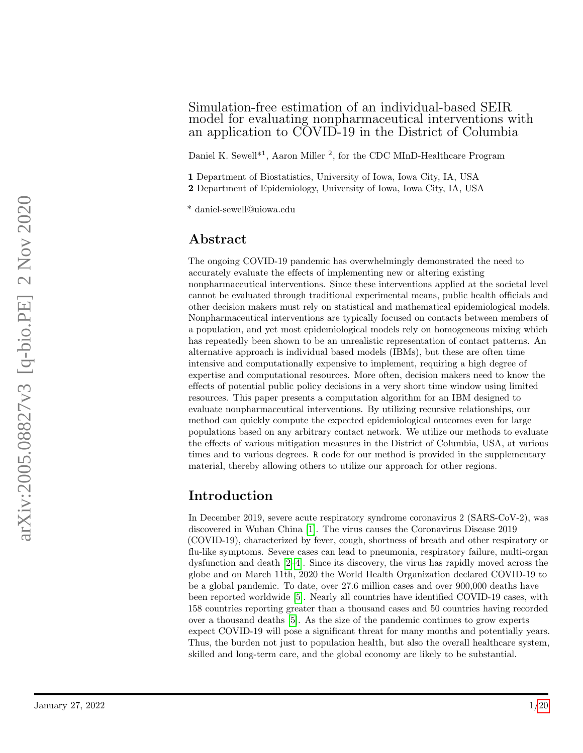## Simulation-free estimation of an individual-based SEIR model for evaluating nonpharmaceutical interventions with an application to COVID-19 in the District of Columbia

Daniel K. Sewell<sup>\*1</sup>, Aaron Miller<sup>2</sup>, for the CDC MInD-Healthcare Program

1 Department of Biostatistics, University of Iowa, Iowa City, IA, USA

2 Department of Epidemiology, University of Iowa, Iowa City, IA, USA

\* daniel-sewell@uiowa.edu

# Abstract

The ongoing COVID-19 pandemic has overwhelmingly demonstrated the need to accurately evaluate the effects of implementing new or altering existing nonpharmaceutical interventions. Since these interventions applied at the societal level cannot be evaluated through traditional experimental means, public health officials and other decision makers must rely on statistical and mathematical epidemiological models. Nonpharmaceutical interventions are typically focused on contacts between members of a population, and yet most epidemiological models rely on homogeneous mixing which has repeatedly been shown to be an unrealistic representation of contact patterns. An alternative approach is individual based models (IBMs), but these are often time intensive and computationally expensive to implement, requiring a high degree of expertise and computational resources. More often, decision makers need to know the effects of potential public policy decisions in a very short time window using limited resources. This paper presents a computation algorithm for an IBM designed to evaluate nonpharmaceutical interventions. By utilizing recursive relationships, our method can quickly compute the expected epidemiological outcomes even for large populations based on any arbitrary contact network. We utilize our methods to evaluate the effects of various mitigation measures in the District of Columbia, USA, at various times and to various degrees. R code for our method is provided in the supplementary material, thereby allowing others to utilize our approach for other regions.  $^4$  daniel asses<br>diffuses and a correspondingly demonstrated the reed to more than the<br>secondary conduct the diffuse of the secondary of a corresponding to<br> $\alpha$  are a corresponding to the secondary of the secondary<br>condu

# Introduction

In December 2019, severe acute respiratory syndrome coronavirus 2 (SARS-CoV-2), was discovered in Wuhan China [\[1\]](#page-13-0). The virus causes the Coronavirus Disease 2019 (COVID-19), characterized by fever, cough, shortness of breath and other respiratory or flu-like symptoms. Severe cases can lead to pneumonia, respiratory failure, multi-organ dysfunction and death [\[2](#page-13-1)[–4\]](#page-13-2). Since its discovery, the virus has rapidly moved across the globe and on March 11th, 2020 the World Health Organization declared COVID-19 to be a global pandemic. To date, over 27.6 million cases and over 900,000 deaths have been reported worldwide [\[5\]](#page-13-3). Nearly all countries have identified COVID-19 cases, with 158 countries reporting greater than a thousand cases and 50 countries having recorded over a thousand deaths [\[5\]](#page-13-3). As the size of the pandemic continues to grow experts expect COVID-19 will pose a significant threat for many months and potentially years. Thus, the burden not just to population health, but also the overall healthcare system, skilled and long-term care, and the global economy are likely to be substantial.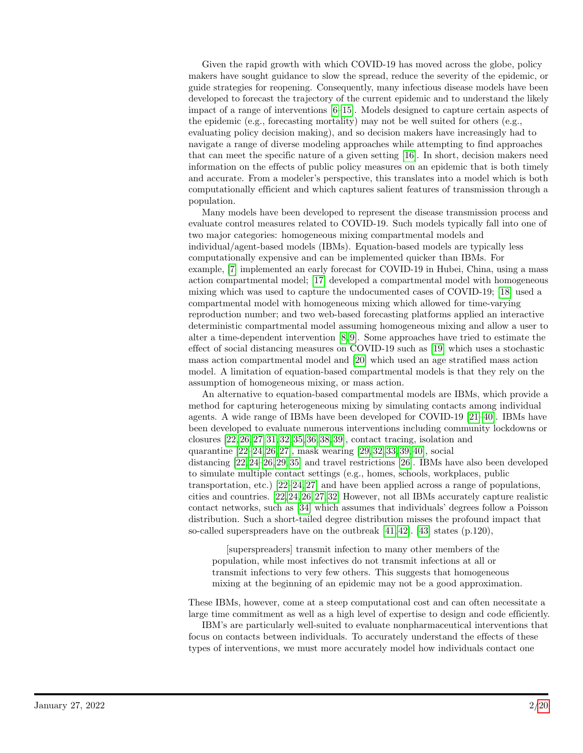Given the rapid growth with which COVID-19 has moved across the globe, policy makers have sought guidance to slow the spread, reduce the severity of the epidemic, or guide strategies for reopening. Consequently, many infectious disease models have been developed to forecast the trajectory of the current epidemic and to understand the likely impact of a range of interventions [\[6–](#page-13-4)[15\]](#page-14-0). Models designed to capture certain aspects of the epidemic (e.g., forecasting mortality) may not be well suited for others (e.g., evaluating policy decision making), and so decision makers have increasingly had to navigate a range of diverse modeling approaches while attempting to find approaches that can meet the specific nature of a given setting [\[16\]](#page-14-1). In short, decision makers need information on the effects of public policy measures on an epidemic that is both timely and accurate. From a modeler's perspective, this translates into a model which is both computationally efficient and which captures salient features of transmission through a population.

Many models have been developed to represent the disease transmission process and evaluate control measures related to COVID-19. Such models typically fall into one of two major categories: homogeneous mixing compartmental models and individual/agent-based models (IBMs). Equation-based models are typically less computationally expensive and can be implemented quicker than IBMs. For example, [\[7\]](#page-14-2) implemented an early forecast for COVID-19 in Hubei, China, using a mass action compartmental model; [\[17\]](#page-14-3) developed a compartmental model with homogeneous mixing which was used to capture the undocumented cases of COVID-19; [\[18\]](#page-14-4) used a compartmental model with homogeneous mixing which allowed for time-varying reproduction number; and two web-based forecasting platforms applied an interactive deterministic compartmental model assuming homogeneous mixing and allow a user to alter a time-dependent intervention [\[8,](#page-14-5) [9\]](#page-14-6). Some approaches have tried to estimate the effect of social distancing measures on COVID-19 such as [\[19\]](#page-14-7) which uses a stochastic mass action compartmental model and [\[20\]](#page-14-8) which used an age stratified mass action model. A limitation of equation-based compartmental models is that they rely on the assumption of homogeneous mixing, or mass action.

An alternative to equation-based compartmental models are IBMs, which provide a method for capturing heterogeneous mixing by simulating contacts among individual agents. A wide range of IBMs have been developed for COVID-19 [\[21–](#page-14-9)[40\]](#page-16-0). IBMs have been developed to evaluate numerous interventions including community lockdowns or closures [\[22,](#page-15-0) [26,](#page-15-1) [27,](#page-15-2) [31,](#page-15-3) [32,](#page-15-4) [35,](#page-15-5) [36,](#page-16-1) [38,](#page-16-2) [39\]](#page-16-3), contact tracing, isolation and quarantine [\[22–](#page-15-0)[24,](#page-15-6) [26,](#page-15-1) [27\]](#page-15-2), mask wearing [\[29,](#page-15-7) [32,](#page-15-4) [33,](#page-15-8) [39,](#page-16-3) [40\]](#page-16-0), social distancing [\[22,](#page-15-0) [24–](#page-15-6)[26,](#page-15-1) [29,](#page-15-7) [35\]](#page-15-5) and travel restrictions [\[26\]](#page-15-1). IBMs have also been developed to simulate multiple contact settings (e.g., homes, schools, workplaces, public transportation, etc.) [\[22](#page-15-0)[–24,](#page-15-6) [27\]](#page-15-2) and have been applied across a range of populations, cities and countries. [\[22,](#page-15-0) [24,](#page-15-6) [26,](#page-15-1) [27,](#page-15-2) [32\]](#page-15-4) However, not all IBMs accurately capture realistic contact networks, such as [\[34\]](#page-15-9) which assumes that individuals' degrees follow a Poisson distribution. Such a short-tailed degree distribution misses the profound impact that so-called superspreaders have on the outbreak [\[41,](#page-16-4) [42\]](#page-16-5). [\[43\]](#page-16-6) states (p.120),

[superspreaders] transmit infection to many other members of the population, while most infectives do not transmit infections at all or transmit infections to very few others. This suggests that homogeneous mixing at the beginning of an epidemic may not be a good approximation.

These IBMs, however, come at a steep computational cost and can often necessitate a large time commitment as well as a high level of expertise to design and code efficiently.

IBM's are particularly well-suited to evaluate nonpharmaceutical interventions that focus on contacts between individuals. To accurately understand the effects of these types of interventions, we must more accurately model how individuals contact one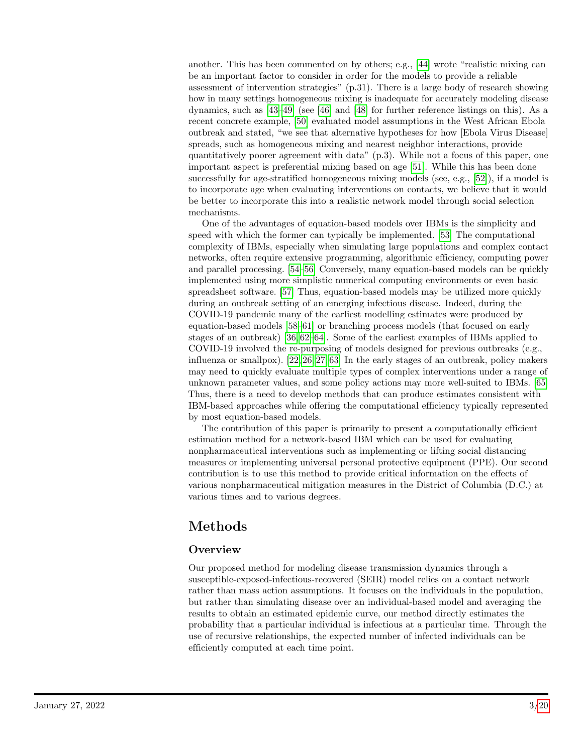another. This has been commented on by others; e.g., [\[44\]](#page-16-7) wrote "realistic mixing can be an important factor to consider in order for the models to provide a reliable assessment of intervention strategies" (p.31). There is a large body of research showing how in many settings homogeneous mixing is inadequate for accurately modeling disease dynamics, such as [\[43](#page-16-6)[–49\]](#page-17-0) (see [\[46\]](#page-16-8) and [\[48\]](#page-16-9) for further reference listings on this). As a recent concrete example, [\[50\]](#page-17-1) evaluated model assumptions in the West African Ebola outbreak and stated, "we see that alternative hypotheses for how [Ebola Virus Disease] spreads, such as homogeneous mixing and nearest neighbor interactions, provide quantitatively poorer agreement with data" (p.3). While not a focus of this paper, one important aspect is preferential mixing based on age [\[51\]](#page-17-2). While this has been done successfully for age-stratified homogeneous mixing models (see, e.g., [\[52\]](#page-17-3)), if a model is to incorporate age when evaluating interventions on contacts, we believe that it would be better to incorporate this into a realistic network model through social selection mechanisms.

One of the advantages of equation-based models over IBMs is the simplicity and speed with which the former can typically be implemented. [\[53\]](#page-17-4) The computational complexity of IBMs, especially when simulating large populations and complex contact networks, often require extensive programming, algorithmic efficiency, computing power and parallel processing. [\[54–](#page-17-5)[56\]](#page-17-6) Conversely, many equation-based models can be quickly implemented using more simplistic numerical computing environments or even basic spreadsheet software. [\[57\]](#page-17-7) Thus, equation-based models may be utilized more quickly during an outbreak setting of an emerging infectious disease. Indeed, during the COVID-19 pandemic many of the earliest modelling estimates were produced by equation-based models [\[58–](#page-17-8)[61\]](#page-17-9) or branching process models (that focused on early stages of an outbreak) [\[36,](#page-16-1) [62–](#page-17-10)[64\]](#page-18-0). Some of the earliest examples of IBMs applied to COVID-19 involved the re-purposing of models designed for previous outbreaks (e.g., influenza or smallpox). [\[22,](#page-15-0) [26,](#page-15-1) [27,](#page-15-2) [63\]](#page-18-1) In the early stages of an outbreak, policy makers may need to quickly evaluate multiple types of complex interventions under a range of unknown parameter values, and some policy actions may more well-suited to IBMs. [\[65\]](#page-18-2) Thus, there is a need to develop methods that can produce estimates consistent with IBM-based approaches while offering the computational efficiency typically represented by most equation-based models.

The contribution of this paper is primarily to present a computationally efficient estimation method for a network-based IBM which can be used for evaluating nonpharmaceutical interventions such as implementing or lifting social distancing measures or implementing universal personal protective equipment (PPE). Our second contribution is to use this method to provide critical information on the effects of various nonpharmaceutical mitigation measures in the District of Columbia (D.C.) at various times and to various degrees.

# Methods

## **Overview**

Our proposed method for modeling disease transmission dynamics through a susceptible-exposed-infectious-recovered (SEIR) model relies on a contact network rather than mass action assumptions. It focuses on the individuals in the population, but rather than simulating disease over an individual-based model and averaging the results to obtain an estimated epidemic curve, our method directly estimates the probability that a particular individual is infectious at a particular time. Through the use of recursive relationships, the expected number of infected individuals can be efficiently computed at each time point.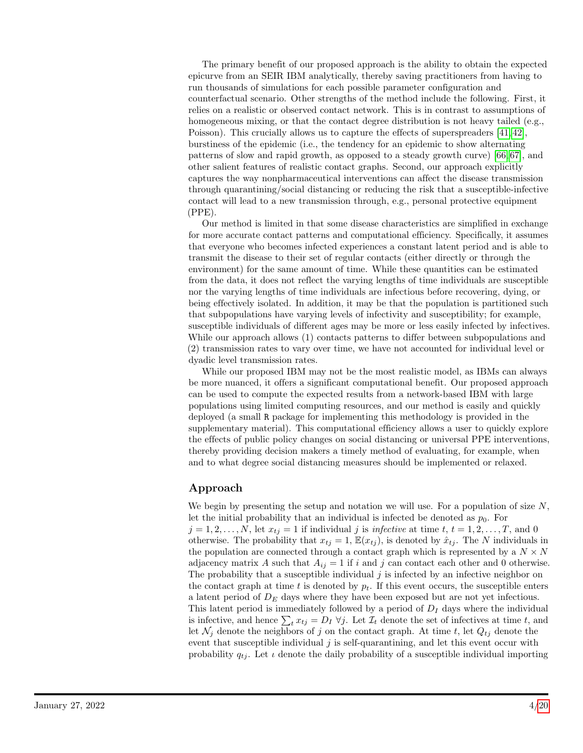The primary benefit of our proposed approach is the ability to obtain the expected epicurve from an SEIR IBM analytically, thereby saving practitioners from having to run thousands of simulations for each possible parameter configuration and counterfactual scenario. Other strengths of the method include the following. First, it relies on a realistic or observed contact network. This is in contrast to assumptions of homogeneous mixing, or that the contact degree distribution is not heavy tailed (e.g., Poisson). This crucially allows us to capture the effects of superspreaders [\[41,](#page-16-4) [42\]](#page-16-5), burstiness of the epidemic (i.e., the tendency for an epidemic to show alternating patterns of slow and rapid growth, as opposed to a steady growth curve) [\[66,](#page-18-3) [67\]](#page-18-4), and other salient features of realistic contact graphs. Second, our approach explicitly captures the way nonpharmaceutical interventions can affect the disease transmission through quarantining/social distancing or reducing the risk that a susceptible-infective contact will lead to a new transmission through, e.g., personal protective equipment (PPE).

Our method is limited in that some disease characteristics are simplified in exchange for more accurate contact patterns and computational efficiency. Specifically, it assumes that everyone who becomes infected experiences a constant latent period and is able to transmit the disease to their set of regular contacts (either directly or through the environment) for the same amount of time. While these quantities can be estimated from the data, it does not reflect the varying lengths of time individuals are susceptible nor the varying lengths of time individuals are infectious before recovering, dying, or being effectively isolated. In addition, it may be that the population is partitioned such that subpopulations have varying levels of infectivity and susceptibility; for example, susceptible individuals of different ages may be more or less easily infected by infectives. While our approach allows (1) contacts patterns to differ between subpopulations and (2) transmission rates to vary over time, we have not accounted for individual level or dyadic level transmission rates.

While our proposed IBM may not be the most realistic model, as IBMs can always be more nuanced, it offers a significant computational benefit. Our proposed approach can be used to compute the expected results from a network-based IBM with large populations using limited computing resources, and our method is easily and quickly deployed (a small R package for implementing this methodology is provided in the supplementary material). This computational efficiency allows a user to quickly explore the effects of public policy changes on social distancing or universal PPE interventions, thereby providing decision makers a timely method of evaluating, for example, when and to what degree social distancing measures should be implemented or relaxed.

## Approach

We begin by presenting the setup and notation we will use. For a population of size  $N$ , let the initial probability that an individual is infected be denoted as  $p_0$ . For  $j = 1, 2, \ldots, N$ , let  $x_{ti} = 1$  if individual j is infective at time  $t, t = 1, 2, \ldots, T$ , and 0 otherwise. The probability that  $x_{tj} = 1$ ,  $\mathbb{E}(x_{tj})$ , is denoted by  $\hat{x}_{tj}$ . The N individuals in the population are connected through a contact graph which is represented by a  $N \times N$ adjacency matrix A such that  $A_{ij} = 1$  if i and j can contact each other and 0 otherwise. The probability that a susceptible individual  $j$  is infected by an infective neighbor on the contact graph at time t is denoted by  $p_t$ . If this event occurs, the susceptible enters a latent period of  $D<sub>E</sub>$  days where they have been exposed but are not yet infectious. This latent period is immediately followed by a period of  $D<sub>I</sub>$  days where the individual is infective, and hence  $\sum_t x_{tj} = D_I \ \forall j$ . Let  $\mathcal{I}_t$  denote the set of infectives at time t, and let  $\mathcal{N}_j$  denote the neighbors of j on the contact graph. At time t, let  $Q_{tj}$  denote the event that susceptible individual  $j$  is self-quarantining, and let this event occur with probability  $q_{tj}$ . Let  $\iota$  denote the daily probability of a susceptible individual importing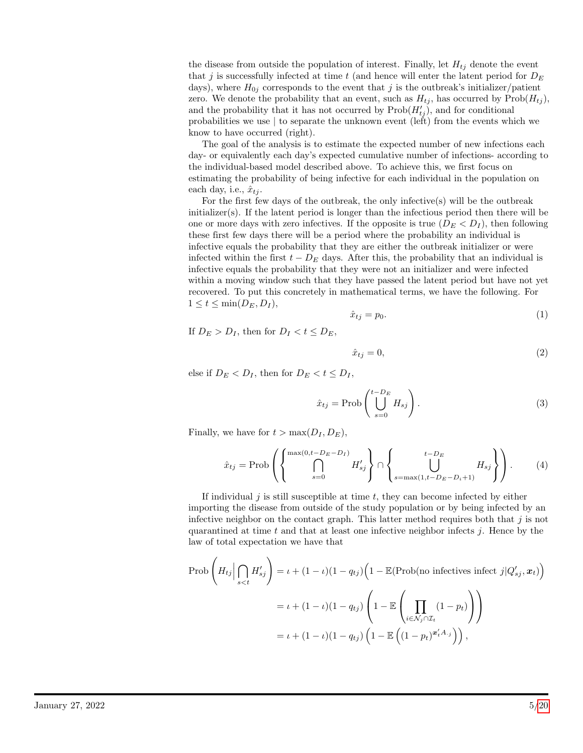the disease from outside the population of interest. Finally, let  $H_{tj}$  denote the event that j is successfully infected at time t (and hence will enter the latent period for  $D_E$ days), where  $H_{0j}$  corresponds to the event that j is the outbreak's initializer/patient zero. We denote the probability that an event, such as  $H_{tj}$ , has occurred by  $\text{Prob}(H_{tj})$ , and the probability that it has not occurred by  $\text{Prob}(H'_{tj})$ , and for conditional probabilities we use | to separate the unknown event (left) from the events which we know to have occurred (right).

The goal of the analysis is to estimate the expected number of new infections each day- or equivalently each day's expected cumulative number of infections- according to the individual-based model described above. To achieve this, we first focus on estimating the probability of being infective for each individual in the population on each day, i.e.,  $\hat{x}_{ti}$ .

For the first few days of the outbreak, the only infective(s) will be the outbreak  $initializer(s)$ . If the latent period is longer than the infectious period then there will be one or more days with zero infectives. If the opposite is true  $(D_E < D_I)$ , then following these first few days there will be a period where the probability an individual is infective equals the probability that they are either the outbreak initializer or were infected within the first  $t - D<sub>E</sub>$  days. After this, the probability that an individual is infective equals the probability that they were not an initializer and were infected within a moving window such that they have passed the latent period but have not yet recovered. To put this concretely in mathematical terms, we have the following. For  $1 \leq t \leq \min(D_E, D_I),$ 

<span id="page-4-0"></span>
$$
\hat{x}_{tj} = p_0. \tag{1}
$$

If  $D_E > D_I$ , then for  $D_I < t \le D_E$ ,

$$
\hat{x}_{tj} = 0,\t\t(2)
$$

else if  $D_E < D_I$ , then for  $D_E < t \leq D_I$ ,

$$
\hat{x}_{tj} = \text{Prob}\left(\bigcup_{s=0}^{t-D_E} H_{sj}\right). \tag{3}
$$

Finally, we have for  $t > \max(D_I, D_E)$ ,

$$
\hat{x}_{tj} = \text{Prob}\left(\left\{\bigcap_{s=0}^{\max(0,t-D_E-D_I)} H'_{sj}\right\} \cap \left\{\bigcup_{s=\max(1,t-D_E-D_i+1)}^{t-D_E} H_{sj}\right\}\right). \tag{4}
$$

If individual  $j$  is still susceptible at time  $t$ , they can become infected by either importing the disease from outside of the study population or by being infected by an infective neighbor on the contact graph. This latter method requires both that  $j$  is not quarantined at time t and that at least one infective neighbor infects  $j$ . Hence by the law of total expectation we have that

$$
\text{Prob}\left(H_{tj} \Big| \bigcap_{s < t} H'_{sj}\right) = \iota + (1 - \iota)(1 - q_{tj})\left(1 - \mathbb{E}(\text{Prob}(\text{no infectives infect } j | Q'_{sj}, x_t)\right)
$$
\n
$$
= \iota + (1 - \iota)(1 - q_{tj})\left(1 - \mathbb{E}\left(\prod_{i \in \mathcal{N}_j \cap \mathcal{I}_t} (1 - p_t)\right)\right)
$$
\n
$$
= \iota + (1 - \iota)(1 - q_{tj})\left(1 - \mathbb{E}\left((1 - p_t)^{x'_t A_{\cdot j}}\right)\right),
$$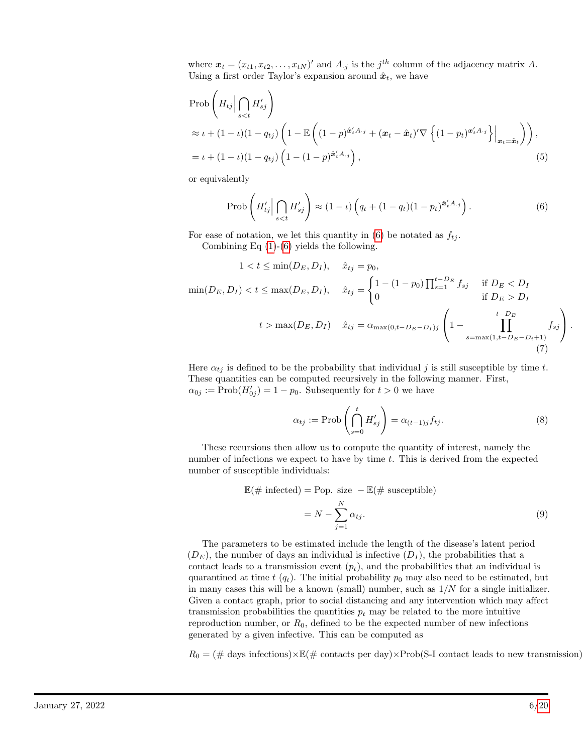where  $\mathbf{x}_t = (x_{t1}, x_{t2}, \dots, x_{tN})'$  and  $A_{\cdot j}$  is the  $j^{th}$  column of the adjacency matrix A. Using a first order Taylor's expansion around  $\hat{x}_t$ , we have

$$
\begin{aligned} &\text{Prob}\left(H_{tj}\Big|\bigcap_{s
$$

or equivalently

<span id="page-5-1"></span><span id="page-5-0"></span>
$$
\text{Prob}\left(H'_{tj} \Big| \bigcap_{s < t} H'_{sj}\right) \approx (1 - \iota) \left(q_t + (1 - q_t)(1 - p_t)^{\hat{\boldsymbol{x}}'_t A_{\cdot j}}\right). \tag{6}
$$

For ease of notation, we let this quantity in [\(6\)](#page-5-0) be notated as  $f_{tj}$ . Combining Eq  $(1)-(6)$  $(1)-(6)$  $(1)-(6)$  yields the following.

$$
1 < t \le \min(D_E, D_I), \quad \hat{x}_{tj} = p_0,
$$
  
\n
$$
\min(D_E, D_I) < t \le \max(D_E, D_I), \quad \hat{x}_{tj} = \begin{cases} 1 - (1 - p_0) \prod_{s=1}^{t-D_E} f_{sj} & \text{if } D_E < D_I \\ 0 & \text{if } D_E > D_I \end{cases}
$$
  
\n
$$
t > \max(D_E, D_I) \quad \hat{x}_{tj} = \alpha_{\max(0, t-D_E - D_I)j} \left( 1 - \prod_{s=\max(1, t-D_E - D_i + 1)}^{t-D_E} f_{sj} \right).
$$
\n(7)

Here  $\alpha_{tj}$  is defined to be the probability that individual j is still susceptible by time t. These quantities can be computed recursively in the following manner. First,  $\alpha_{0j} := \text{Prob}(H'_{0j}) = 1 - p_0$ . Subsequently for  $t > 0$  we have

$$
\alpha_{tj} := \text{Prob}\left(\bigcap_{s=0}^{t} H'_{sj}\right) = \alpha_{(t-1)j} f_{tj}.
$$
\n(8)

These recursions then allow us to compute the quantity of interest, namely the number of infections we expect to have by time t. This is derived from the expected number of susceptible individuals:

$$
\mathbb{E}(\# \text{ infected}) = \text{Pop. size } - \mathbb{E}(\# \text{ susceptible})
$$

$$
= N - \sum_{j=1}^{N} \alpha_{tj}.
$$
(9)

The parameters to be estimated include the length of the disease's latent period  $(D<sub>E</sub>)$ , the number of days an individual is infective  $(D<sub>I</sub>)$ , the probabilities that a contact leads to a transmission event  $(p_t)$ , and the probabilities that an individual is quarantined at time t  $(q_t)$ . The initial probability  $p_0$  may also need to be estimated, but in many cases this will be a known (small) number, such as  $1/N$  for a single initializer. Given a contact graph, prior to social distancing and any intervention which may affect transmission probabilities the quantities  $p_t$  may be related to the more intuitive reproduction number, or  $R_0$ , defined to be the expected number of new infections generated by a given infective. This can be computed as

 $R_0 = (\text{\# days infectious}) \times \text{\# (} \text{\# contacts per day}) \times \text{Prob(S-I contact leads to new transmission})$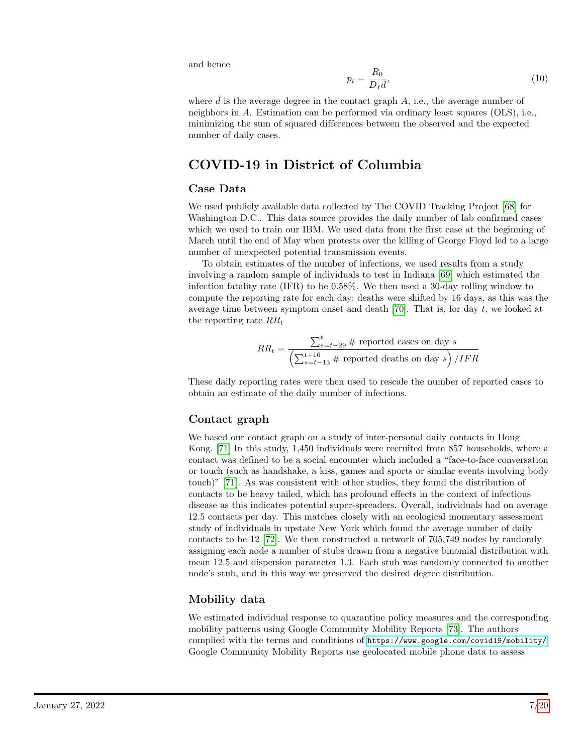and hence

$$
p_t = \frac{R_0}{D_I \bar{d}},\tag{10}
$$

where  $\bar{d}$  is the average degree in the contact graph  $A$ , i.e., the average number of neighbors in A. Estimation can be performed via ordinary least squares (OLS), i.e., minimizing the sum of squared differences between the observed and the expected number of daily cases.

# COVID-19 in District of Columbia

#### Case Data

We used publicly available data collected by The COVID Tracking Project [\[68\]](#page-18-5) for Washington D.C.. This data source provides the daily number of lab confirmed cases which we used to train our IBM. We used data from the first case at the beginning of March until the end of May when protests over the killing of George Floyd led to a large number of unexpected potential transmission events.

To obtain estimates of the number of infections, we used results from a study involving a random sample of individuals to test in Indiana [\[69\]](#page-18-6) which estimated the infection fatality rate (IFR) to be 0.58%. We then used a 30-day rolling window to compute the reporting rate for each day; deaths were shifted by 16 days, as this was the average time between symptom onset and death [\[70\]](#page-18-7). That is, for day  $t$ , we looked at the reporting rate  $RR_t$ 

$$
RR_t = \frac{\sum_{s=t-29}^{t} \# \text{ reported cases on day } s}{\left(\sum_{s=t-13}^{t+16} \# \text{ reported deaths on day } s\right) / IFR}
$$

These daily reporting rates were then used to rescale the number of reported cases to obtain an estimate of the daily number of infections.

#### Contact graph

We based our contact graph on a study of inter-personal daily contacts in Hong Kong. [\[71\]](#page-18-8) In this study, 1,450 individuals were recruited from 857 households, where a contact was defined to be a social encounter which included a "face-to-face conversation or touch (such as handshake, a kiss, games and sports or similar events involving body touch)" [\[71\]](#page-18-8). As was consistent with other studies, they found the distribution of contacts to be heavy tailed, which has profound effects in the context of infectious disease as this indicates potential super-spreaders. Overall, individuals had on average 12.5 contacts per day. This matches closely with an ecological momentary assessment study of individuals in upstate New York which found the average number of daily contacts to be 12 [\[72\]](#page-18-9). We then constructed a network of 705,749 nodes by randomly assigning each node a number of stubs drawn from a negative binomial distribution with mean 12.5 and dispersion parameter 1.3. Each stub was randomly connected to another node's stub, and in this way we preserved the desired degree distribution.

## Mobility data

We estimated individual response to quarantine policy measures and the corresponding mobility patterns using Google Community Mobility Reports [\[73\]](#page-18-10). The authors complied with the terms and conditions of <https://www.google.com/covid19/mobility/>. Google Community Mobility Reports use geolocated mobile phone data to assess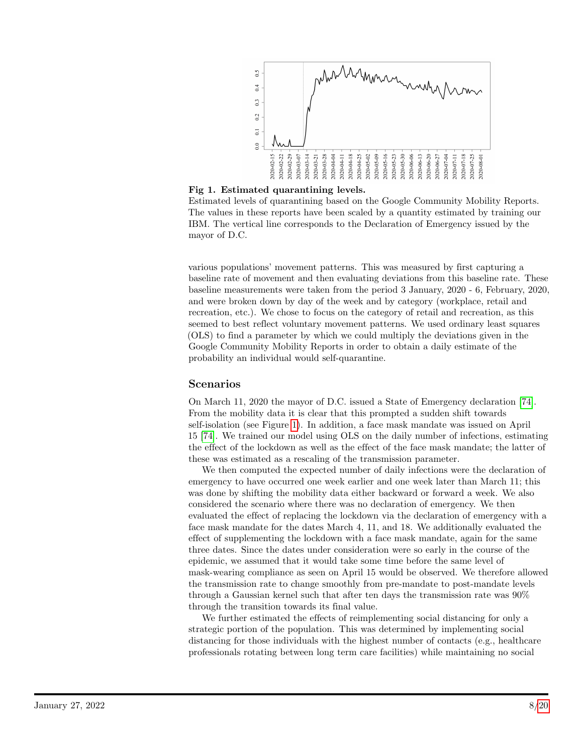<span id="page-7-0"></span>

Fig 1. Estimated quarantining levels.

Estimated levels of quarantining based on the Google Community Mobility Reports. The values in these reports have been scaled by a quantity estimated by training our IBM. The vertical line corresponds to the Declaration of Emergency issued by the mayor of D.C.

various populations' movement patterns. This was measured by first capturing a baseline rate of movement and then evaluating deviations from this baseline rate. These baseline measurements were taken from the period 3 January, 2020 - 6, February, 2020, and were broken down by day of the week and by category (workplace, retail and recreation, etc.). We chose to focus on the category of retail and recreation, as this seemed to best reflect voluntary movement patterns. We used ordinary least squares (OLS) to find a parameter by which we could multiply the deviations given in the Google Community Mobility Reports in order to obtain a daily estimate of the probability an individual would self-quarantine.

## Scenarios

On March 11, 2020 the mayor of D.C. issued a State of Emergency declaration [\[74\]](#page-18-11). From the mobility data it is clear that this prompted a sudden shift towards self-isolation (see Figure [1\)](#page-7-0). In addition, a face mask mandate was issued on April 15 [\[74\]](#page-18-11). We trained our model using OLS on the daily number of infections, estimating the effect of the lockdown as well as the effect of the face mask mandate; the latter of these was estimated as a rescaling of the transmission parameter.

We then computed the expected number of daily infections were the declaration of emergency to have occurred one week earlier and one week later than March 11; this was done by shifting the mobility data either backward or forward a week. We also considered the scenario where there was no declaration of emergency. We then evaluated the effect of replacing the lockdown via the declaration of emergency with a face mask mandate for the dates March 4, 11, and 18. We additionally evaluated the effect of supplementing the lockdown with a face mask mandate, again for the same three dates. Since the dates under consideration were so early in the course of the epidemic, we assumed that it would take some time before the same level of mask-wearing compliance as seen on April 15 would be observed. We therefore allowed the transmission rate to change smoothly from pre-mandate to post-mandate levels through a Gaussian kernel such that after ten days the transmission rate was 90% through the transition towards its final value.

We further estimated the effects of reimplementing social distancing for only a strategic portion of the population. This was determined by implementing social distancing for those individuals with the highest number of contacts (e.g., healthcare professionals rotating between long term care facilities) while maintaining no social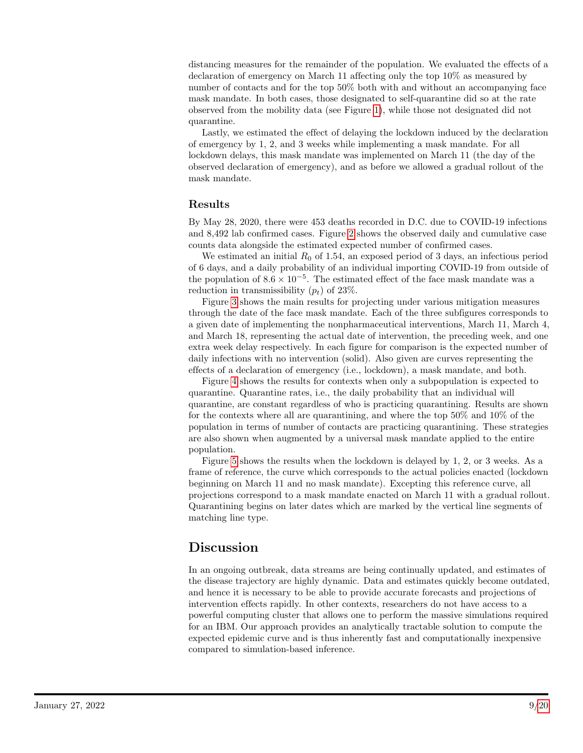distancing measures for the remainder of the population. We evaluated the effects of a declaration of emergency on March 11 affecting only the top 10% as measured by number of contacts and for the top 50% both with and without an accompanying face mask mandate. In both cases, those designated to self-quarantine did so at the rate observed from the mobility data (see Figure [1\)](#page-7-0), while those not designated did not quarantine.

Lastly, we estimated the effect of delaying the lockdown induced by the declaration of emergency by 1, 2, and 3 weeks while implementing a mask mandate. For all lockdown delays, this mask mandate was implemented on March 11 (the day of the observed declaration of emergency), and as before we allowed a gradual rollout of the mask mandate.

## Results

By May 28, 2020, there were 453 deaths recorded in D.C. due to COVID-19 infections and 8,492 lab confirmed cases. Figure [2](#page-9-0) shows the observed daily and cumulative case counts data alongside the estimated expected number of confirmed cases.

We estimated an initial  $R_0$  of 1.54, an exposed period of 3 days, an infectious period of 6 days, and a daily probability of an individual importing COVID-19 from outside of the population of  $8.6 \times 10^{-5}$ . The estimated effect of the face mask mandate was a reduction in transmissibility  $(p_t)$  of 23%.

Figure [3](#page-10-0) shows the main results for projecting under various mitigation measures through the date of the face mask mandate. Each of the three subfigures corresponds to a given date of implementing the nonpharmaceutical interventions, March 11, March 4, and March 18, representing the actual date of intervention, the preceding week, and one extra week delay respectively. In each figure for comparison is the expected number of daily infections with no intervention (solid). Also given are curves representing the effects of a declaration of emergency (i.e., lockdown), a mask mandate, and both.

Figure [4](#page-11-0) shows the results for contexts when only a subpopulation is expected to quarantine. Quarantine rates, i.e., the daily probability that an individual will quarantine, are constant regardless of who is practicing quarantining. Results are shown for the contexts where all are quarantining, and where the top 50% and 10% of the population in terms of number of contacts are practicing quarantining. These strategies are also shown when augmented by a universal mask mandate applied to the entire population.

Figure [5](#page-11-1) shows the results when the lockdown is delayed by 1, 2, or 3 weeks. As a frame of reference, the curve which corresponds to the actual policies enacted (lockdown beginning on March 11 and no mask mandate). Excepting this reference curve, all projections correspond to a mask mandate enacted on March 11 with a gradual rollout. Quarantining begins on later dates which are marked by the vertical line segments of matching line type.

# Discussion

In an ongoing outbreak, data streams are being continually updated, and estimates of the disease trajectory are highly dynamic. Data and estimates quickly become outdated, and hence it is necessary to be able to provide accurate forecasts and projections of intervention effects rapidly. In other contexts, researchers do not have access to a powerful computing cluster that allows one to perform the massive simulations required for an IBM. Our approach provides an analytically tractable solution to compute the expected epidemic curve and is thus inherently fast and computationally inexpensive compared to simulation-based inference.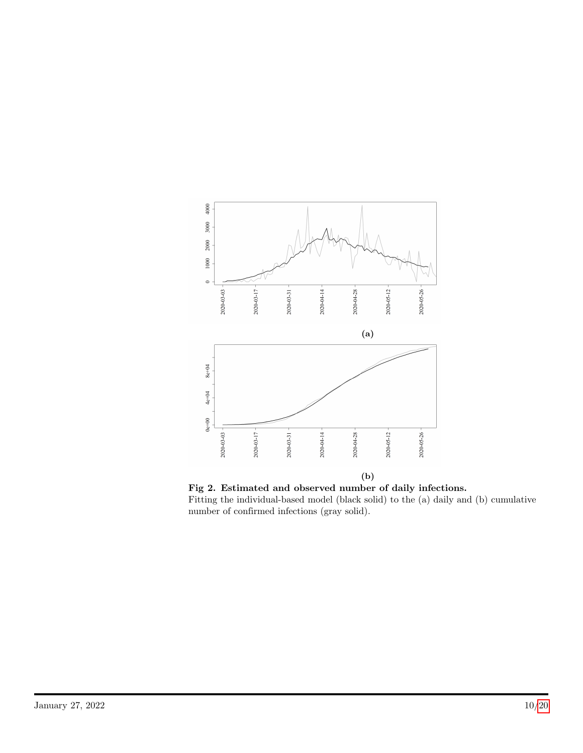<span id="page-9-0"></span>

Fig 2. Estimated and observed number of daily infections. Fitting the individual-based model (black solid) to the (a) daily and (b) cumulative number of confirmed infections (gray solid).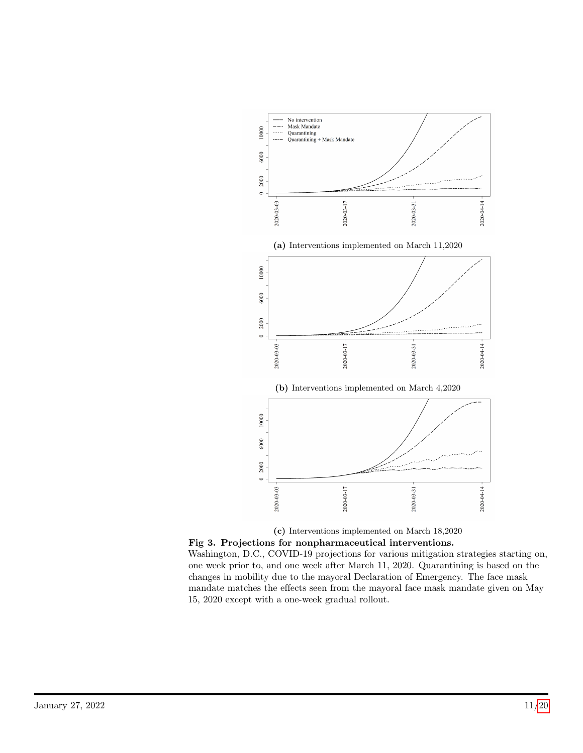<span id="page-10-0"></span>

(c) Interventions implemented on March 18,2020

Fig 3. Projections for nonpharmaceutical interventions. Washington, D.C., COVID-19 projections for various mitigation strategies starting on, one week prior to, and one week after March 11, 2020. Quarantining is based on the changes in mobility due to the mayoral Declaration of Emergency. The face mask mandate matches the effects seen from the mayoral face mask mandate given on May 15, 2020 except with a one-week gradual rollout.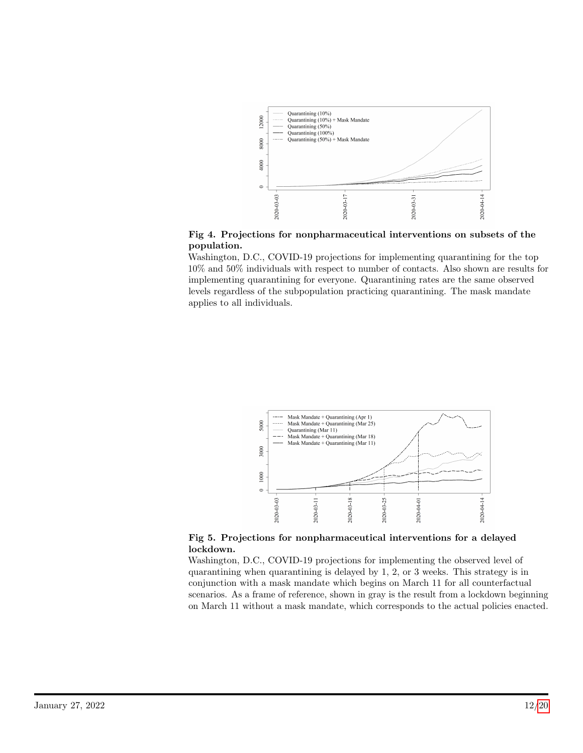<span id="page-11-0"></span>

Fig 4. Projections for nonpharmaceutical interventions on subsets of the population.

Washington, D.C., COVID-19 projections for implementing quarantining for the top 10% and 50% individuals with respect to number of contacts. Also shown are results for implementing quarantining for everyone. Quarantining rates are the same observed levels regardless of the subpopulation practicing quarantining. The mask mandate applies to all individuals.

<span id="page-11-1"></span>

Fig 5. Projections for nonpharmaceutical interventions for a delayed lockdown.

Washington, D.C., COVID-19 projections for implementing the observed level of quarantining when quarantining is delayed by 1, 2, or 3 weeks. This strategy is in conjunction with a mask mandate which begins on March 11 for all counterfactual scenarios. As a frame of reference, shown in gray is the result from a lockdown beginning on March 11 without a mask mandate, which corresponds to the actual policies enacted.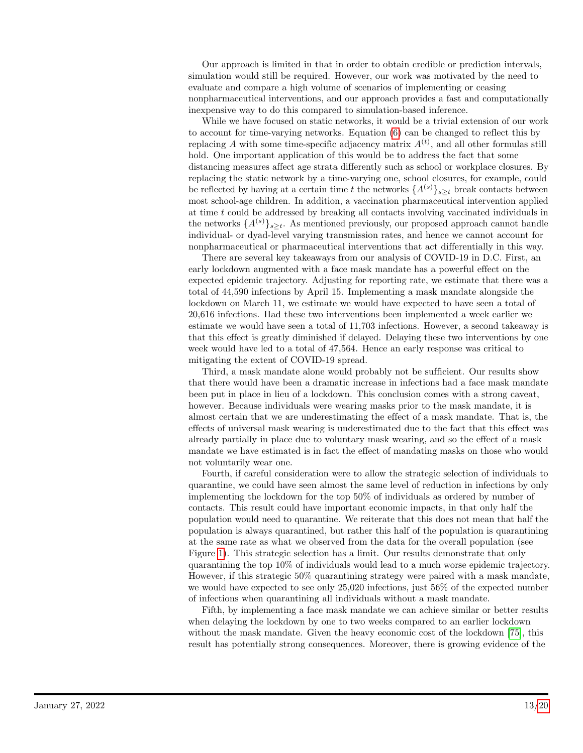Our approach is limited in that in order to obtain credible or prediction intervals, simulation would still be required. However, our work was motivated by the need to evaluate and compare a high volume of scenarios of implementing or ceasing nonpharmaceutical interventions, and our approach provides a fast and computationally inexpensive way to do this compared to simulation-based inference.

While we have focused on static networks, it would be a trivial extension of our work to account for time-varying networks. Equation [\(6\)](#page-5-0) can be changed to reflect this by replacing A with some time-specific adjacency matrix  $A<sup>(t)</sup>$ , and all other formulas still hold. One important application of this would be to address the fact that some distancing measures affect age strata differently such as school or workplace closures. By replacing the static network by a time-varying one, school closures, for example, could be reflected by having at a certain time t the networks  $\{A^{(s)}\}_{s\geq t}$  break contacts between most school-age children. In addition, a vaccination pharmaceutical intervention applied at time t could be addressed by breaking all contacts involving vaccinated individuals in the networks  $\{A^{(s)}\}_{s\geq t}$ . As mentioned previously, our proposed approach cannot handle individual- or dyad-level varying transmission rates, and hence we cannot account for nonpharmaceutical or pharmaceutical interventions that act differentially in this way.

There are several key takeaways from our analysis of COVID-19 in D.C. First, an early lockdown augmented with a face mask mandate has a powerful effect on the expected epidemic trajectory. Adjusting for reporting rate, we estimate that there was a total of 44,590 infections by April 15. Implementing a mask mandate alongside the lockdown on March 11, we estimate we would have expected to have seen a total of 20,616 infections. Had these two interventions been implemented a week earlier we estimate we would have seen a total of 11,703 infections. However, a second takeaway is that this effect is greatly diminished if delayed. Delaying these two interventions by one week would have led to a total of 47,564. Hence an early response was critical to mitigating the extent of COVID-19 spread.

Third, a mask mandate alone would probably not be sufficient. Our results show that there would have been a dramatic increase in infections had a face mask mandate been put in place in lieu of a lockdown. This conclusion comes with a strong caveat, however. Because individuals were wearing masks prior to the mask mandate, it is almost certain that we are underestimating the effect of a mask mandate. That is, the effects of universal mask wearing is underestimated due to the fact that this effect was already partially in place due to voluntary mask wearing, and so the effect of a mask mandate we have estimated is in fact the effect of mandating masks on those who would not voluntarily wear one.

Fourth, if careful consideration were to allow the strategic selection of individuals to quarantine, we could have seen almost the same level of reduction in infections by only implementing the lockdown for the top 50% of individuals as ordered by number of contacts. This result could have important economic impacts, in that only half the population would need to quarantine. We reiterate that this does not mean that half the population is always quarantined, but rather this half of the population is quarantining at the same rate as what we observed from the data for the overall population (see Figure [1\)](#page-7-0). This strategic selection has a limit. Our results demonstrate that only quarantining the top 10% of individuals would lead to a much worse epidemic trajectory. However, if this strategic 50% quarantining strategy were paired with a mask mandate, we would have expected to see only 25,020 infections, just 56% of the expected number of infections when quarantining all individuals without a mask mandate.

Fifth, by implementing a face mask mandate we can achieve similar or better results when delaying the lockdown by one to two weeks compared to an earlier lockdown without the mask mandate. Given the heavy economic cost of the lockdown [\[75\]](#page-18-12), this result has potentially strong consequences. Moreover, there is growing evidence of the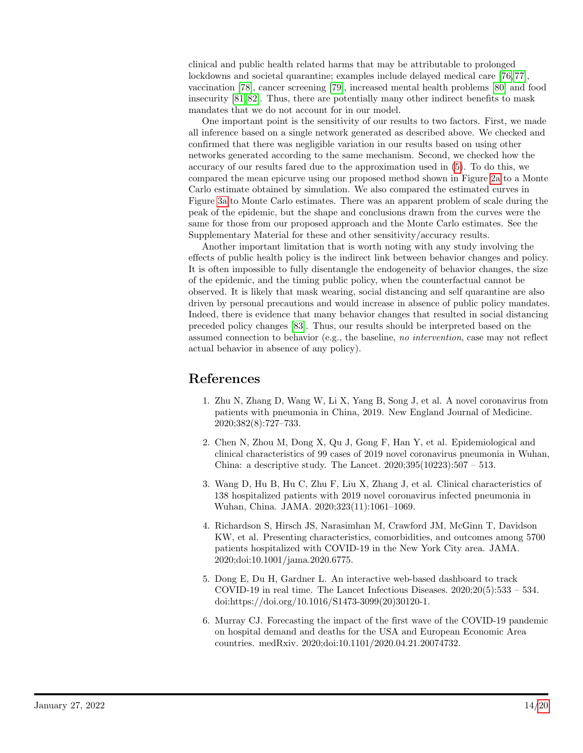clinical and public health related harms that may be attributable to prolonged lockdowns and societal quarantine; examples include delayed medical care [\[76,](#page-18-13)77], vaccination [\[78\]](#page-19-1), cancer screening [\[79\]](#page-19-2), increased mental health problems [\[80\]](#page-19-3) and food insecurity [\[81,](#page-19-4) [82\]](#page-19-5). Thus, there are potentially many other indirect benefits to mask mandates that we do not account for in our model.

One important point is the sensitivity of our results to two factors. First, we made all inference based on a single network generated as described above. We checked and confirmed that there was negligible variation in our results based on using other networks generated according to the same mechanism. Second, we checked how the accuracy of our results fared due to the approximation used in [\(5\)](#page-5-1). To do this, we compared the mean epicurve using our proposed method shown in Figure [2a](#page-9-0) to a Monte Carlo estimate obtained by simulation. We also compared the estimated curves in Figure [3a](#page-10-0) to Monte Carlo estimates. There was an apparent problem of scale during the peak of the epidemic, but the shape and conclusions drawn from the curves were the same for those from our proposed approach and the Monte Carlo estimates. See the Supplementary Material for these and other sensitivity/accuracy results.

Another important limitation that is worth noting with any study involving the effects of public health policy is the indirect link between behavior changes and policy. It is often impossible to fully disentangle the endogeneity of behavior changes, the size of the epidemic, and the timing public policy, when the counterfactual cannot be observed. It is likely that mask wearing, social distancing and self quarantine are also driven by personal precautions and would increase in absence of public policy mandates. Indeed, there is evidence that many behavior changes that resulted in social distancing preceded policy changes [\[83\]](#page-19-6). Thus, our results should be interpreted based on the assumed connection to behavior (e.g., the baseline, no intervention, case may not reflect actual behavior in absence of any policy).

# References

- <span id="page-13-0"></span>1. Zhu N, Zhang D, Wang W, Li X, Yang B, Song J, et al. A novel coronavirus from patients with pneumonia in China, 2019. New England Journal of Medicine. 2020;382(8):727–733.
- <span id="page-13-1"></span>2. Chen N, Zhou M, Dong X, Qu J, Gong F, Han Y, et al. Epidemiological and clinical characteristics of 99 cases of 2019 novel coronavirus pneumonia in Wuhan, China: a descriptive study. The Lancet. 2020;395(10223):507 – 513.
- 3. Wang D, Hu B, Hu C, Zhu F, Liu X, Zhang J, et al. Clinical characteristics of 138 hospitalized patients with 2019 novel coronavirus infected pneumonia in Wuhan, China. JAMA. 2020;323(11):1061–1069.
- <span id="page-13-2"></span>4. Richardson S, Hirsch JS, Narasimhan M, Crawford JM, McGinn T, Davidson KW, et al. Presenting characteristics, comorbidities, and outcomes among 5700 patients hospitalized with COVID-19 in the New York City area. JAMA. 2020;doi:10.1001/jama.2020.6775.
- <span id="page-13-3"></span>5. Dong E, Du H, Gardner L. An interactive web-based dashboard to track COVID-19 in real time. The Lancet Infectious Diseases.  $2020:20(5):533 - 534$ . doi:https://doi.org/10.1016/S1473-3099(20)30120-1.
- <span id="page-13-4"></span>6. Murray CJ. Forecasting the impact of the first wave of the COVID-19 pandemic on hospital demand and deaths for the USA and European Economic Area countries. medRxiv. 2020;doi:10.1101/2020.04.21.20074732.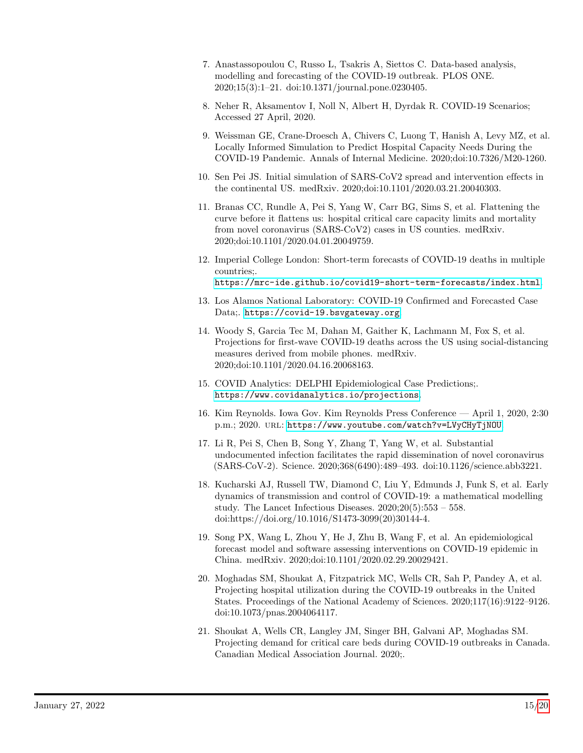- <span id="page-14-2"></span>7. Anastassopoulou C, Russo L, Tsakris A, Siettos C. Data-based analysis, modelling and forecasting of the COVID-19 outbreak. PLOS ONE. 2020;15(3):1–21. doi:10.1371/journal.pone.0230405.
- <span id="page-14-5"></span>8. Neher R, Aksamentov I, Noll N, Albert H, Dyrdak R. COVID-19 Scenarios; Accessed 27 April, 2020.
- <span id="page-14-6"></span>9. Weissman GE, Crane-Droesch A, Chivers C, Luong T, Hanish A, Levy MZ, et al. Locally Informed Simulation to Predict Hospital Capacity Needs During the COVID-19 Pandemic. Annals of Internal Medicine. 2020;doi:10.7326/M20-1260.
- 10. Sen Pei JS. Initial simulation of SARS-CoV2 spread and intervention effects in the continental US. medRxiv. 2020;doi:10.1101/2020.03.21.20040303.
- 11. Branas CC, Rundle A, Pei S, Yang W, Carr BG, Sims S, et al. Flattening the curve before it flattens us: hospital critical care capacity limits and mortality from novel coronavirus (SARS-CoV2) cases in US counties. medRxiv. 2020;doi:10.1101/2020.04.01.20049759.
- 12. Imperial College London: Short-term forecasts of COVID-19 deaths in multiple countries;. <https://mrc-ide.github.io/covid19-short-term-forecasts/index.html>.
- 13. Los Alamos National Laboratory: COVID-19 Confirmed and Forecasted Case Data;. <https://covid-19.bsvgateway.org>.
- 14. Woody S, Garcia Tec M, Dahan M, Gaither K, Lachmann M, Fox S, et al. Projections for first-wave COVID-19 deaths across the US using social-distancing measures derived from mobile phones. medRxiv. 2020;doi:10.1101/2020.04.16.20068163.
- <span id="page-14-0"></span>15. COVID Analytics: DELPHI Epidemiological Case Predictions;. <https://www.covidanalytics.io/projections>.
- <span id="page-14-1"></span>16. Kim Reynolds. Iowa Gov. Kim Reynolds Press Conference — April 1, 2020, 2:30 p.m.; 2020. URL: <https://www.youtube.com/watch?v=LVyCHyTjNOU>.
- <span id="page-14-3"></span>17. Li R, Pei S, Chen B, Song Y, Zhang T, Yang W, et al. Substantial undocumented infection facilitates the rapid dissemination of novel coronavirus (SARS-CoV-2). Science. 2020;368(6490):489–493. doi:10.1126/science.abb3221.
- <span id="page-14-4"></span>18. Kucharski AJ, Russell TW, Diamond C, Liu Y, Edmunds J, Funk S, et al. Early dynamics of transmission and control of COVID-19: a mathematical modelling study. The Lancet Infectious Diseases.  $2020;20(5):553 - 558$ . doi:https://doi.org/10.1016/S1473-3099(20)30144-4.
- <span id="page-14-7"></span>19. Song PX, Wang L, Zhou Y, He J, Zhu B, Wang F, et al. An epidemiological forecast model and software assessing interventions on COVID-19 epidemic in China. medRxiv. 2020;doi:10.1101/2020.02.29.20029421.
- <span id="page-14-8"></span>20. Moghadas SM, Shoukat A, Fitzpatrick MC, Wells CR, Sah P, Pandey A, et al. Projecting hospital utilization during the COVID-19 outbreaks in the United States. Proceedings of the National Academy of Sciences. 2020;117(16):9122–9126. doi:10.1073/pnas.2004064117.
- <span id="page-14-9"></span>21. Shoukat A, Wells CR, Langley JM, Singer BH, Galvani AP, Moghadas SM. Projecting demand for critical care beds during COVID-19 outbreaks in Canada. Canadian Medical Association Journal. 2020;.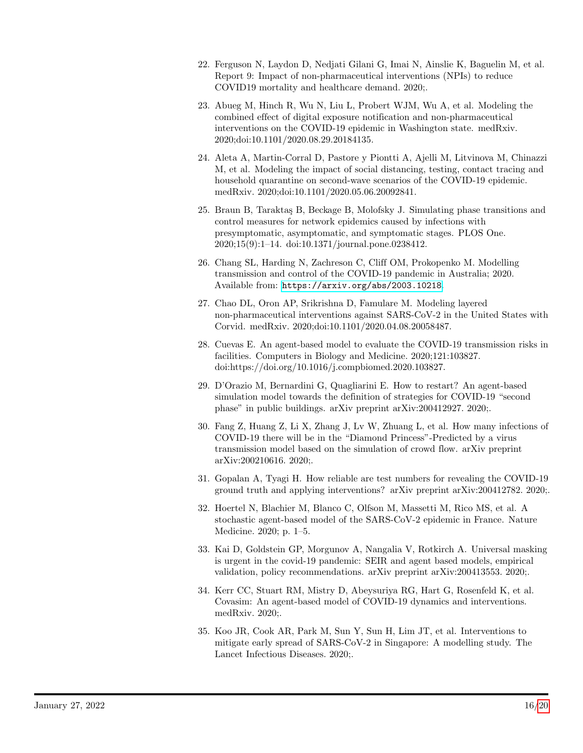- <span id="page-15-0"></span>22. Ferguson N, Laydon D, Nedjati Gilani G, Imai N, Ainslie K, Baguelin M, et al. Report 9: Impact of non-pharmaceutical interventions (NPIs) to reduce COVID19 mortality and healthcare demand. 2020;.
- 23. Abueg M, Hinch R, Wu N, Liu L, Probert WJM, Wu A, et al. Modeling the combined effect of digital exposure notification and non-pharmaceutical interventions on the COVID-19 epidemic in Washington state. medRxiv. 2020;doi:10.1101/2020.08.29.20184135.
- <span id="page-15-6"></span>24. Aleta A, Martin-Corral D, Pastore y Piontti A, Ajelli M, Litvinova M, Chinazzi M, et al. Modeling the impact of social distancing, testing, contact tracing and household quarantine on second-wave scenarios of the COVID-19 epidemic. medRxiv. 2020;doi:10.1101/2020.05.06.20092841.
- 25. Braun B, Tarakta¸s B, Beckage B, Molofsky J. Simulating phase transitions and control measures for network epidemics caused by infections with presymptomatic, asymptomatic, and symptomatic stages. PLOS One. 2020;15(9):1–14. doi:10.1371/journal.pone.0238412.
- <span id="page-15-1"></span>26. Chang SL, Harding N, Zachreson C, Cliff OM, Prokopenko M. Modelling transmission and control of the COVID-19 pandemic in Australia; 2020. Available from: <https://arxiv.org/abs/2003.10218>.
- <span id="page-15-2"></span>27. Chao DL, Oron AP, Srikrishna D, Famulare M. Modeling layered non-pharmaceutical interventions against SARS-CoV-2 in the United States with Corvid. medRxiv. 2020;doi:10.1101/2020.04.08.20058487.
- 28. Cuevas E. An agent-based model to evaluate the COVID-19 transmission risks in facilities. Computers in Biology and Medicine. 2020;121:103827. doi:https://doi.org/10.1016/j.compbiomed.2020.103827.
- <span id="page-15-7"></span>29. D'Orazio M, Bernardini G, Quagliarini E. How to restart? An agent-based simulation model towards the definition of strategies for COVID-19 "second phase" in public buildings. arXiv preprint arXiv:200412927. 2020;.
- 30. Fang Z, Huang Z, Li X, Zhang J, Lv W, Zhuang L, et al. How many infections of COVID-19 there will be in the "Diamond Princess"-Predicted by a virus transmission model based on the simulation of crowd flow. arXiv preprint arXiv:200210616. 2020;.
- <span id="page-15-3"></span>31. Gopalan A, Tyagi H. How reliable are test numbers for revealing the COVID-19 ground truth and applying interventions? arXiv preprint arXiv:200412782. 2020;.
- <span id="page-15-4"></span>32. Hoertel N, Blachier M, Blanco C, Olfson M, Massetti M, Rico MS, et al. A stochastic agent-based model of the SARS-CoV-2 epidemic in France. Nature Medicine. 2020; p. 1–5.
- <span id="page-15-8"></span>33. Kai D, Goldstein GP, Morgunov A, Nangalia V, Rotkirch A. Universal masking is urgent in the covid-19 pandemic: SEIR and agent based models, empirical validation, policy recommendations. arXiv preprint arXiv:200413553. 2020;.
- <span id="page-15-9"></span>34. Kerr CC, Stuart RM, Mistry D, Abeysuriya RG, Hart G, Rosenfeld K, et al. Covasim: An agent-based model of COVID-19 dynamics and interventions. medRxiv. 2020;.
- <span id="page-15-5"></span>35. Koo JR, Cook AR, Park M, Sun Y, Sun H, Lim JT, et al. Interventions to mitigate early spread of SARS-CoV-2 in Singapore: A modelling study. The Lancet Infectious Diseases. 2020;.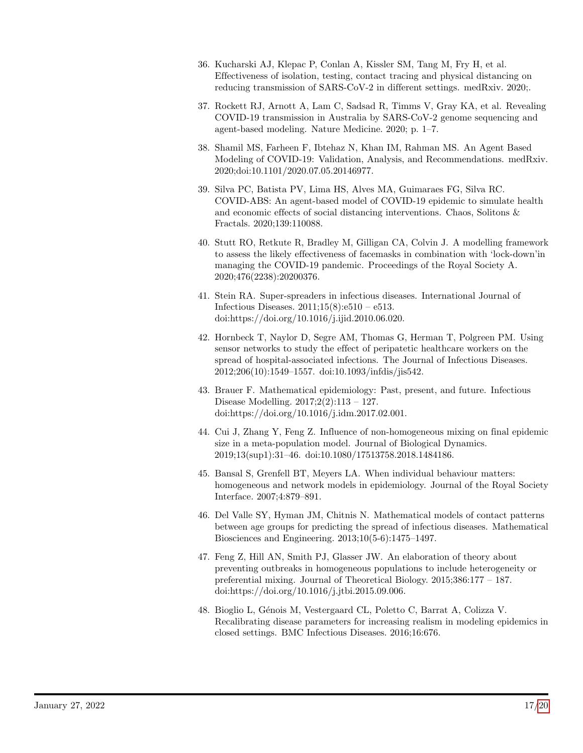- <span id="page-16-1"></span>36. Kucharski AJ, Klepac P, Conlan A, Kissler SM, Tang M, Fry H, et al. Effectiveness of isolation, testing, contact tracing and physical distancing on reducing transmission of SARS-CoV-2 in different settings. medRxiv. 2020;.
- 37. Rockett RJ, Arnott A, Lam C, Sadsad R, Timms V, Gray KA, et al. Revealing COVID-19 transmission in Australia by SARS-CoV-2 genome sequencing and agent-based modeling. Nature Medicine. 2020; p. 1–7.
- <span id="page-16-2"></span>38. Shamil MS, Farheen F, Ibtehaz N, Khan IM, Rahman MS. An Agent Based Modeling of COVID-19: Validation, Analysis, and Recommendations. medRxiv. 2020;doi:10.1101/2020.07.05.20146977.
- <span id="page-16-3"></span>39. Silva PC, Batista PV, Lima HS, Alves MA, Guimaraes FG, Silva RC. COVID-ABS: An agent-based model of COVID-19 epidemic to simulate health and economic effects of social distancing interventions. Chaos, Solitons & Fractals. 2020;139:110088.
- <span id="page-16-0"></span>40. Stutt RO, Retkute R, Bradley M, Gilligan CA, Colvin J. A modelling framework to assess the likely effectiveness of facemasks in combination with 'lock-down'in managing the COVID-19 pandemic. Proceedings of the Royal Society A. 2020;476(2238):20200376.
- <span id="page-16-4"></span>41. Stein RA. Super-spreaders in infectious diseases. International Journal of Infectious Diseases. 2011;15(8):e510 – e513. doi:https://doi.org/10.1016/j.ijid.2010.06.020.
- <span id="page-16-5"></span>42. Hornbeck T, Naylor D, Segre AM, Thomas G, Herman T, Polgreen PM. Using sensor networks to study the effect of peripatetic healthcare workers on the spread of hospital-associated infections. The Journal of Infectious Diseases. 2012;206(10):1549–1557. doi:10.1093/infdis/jis542.
- <span id="page-16-6"></span>43. Brauer F. Mathematical epidemiology: Past, present, and future. Infectious Disease Modelling. 2017;2(2):113 – 127. doi:https://doi.org/10.1016/j.idm.2017.02.001.
- <span id="page-16-7"></span>44. Cui J, Zhang Y, Feng Z. Influence of non-homogeneous mixing on final epidemic size in a meta-population model. Journal of Biological Dynamics. 2019;13(sup1):31–46. doi:10.1080/17513758.2018.1484186.
- 45. Bansal S, Grenfell BT, Meyers LA. When individual behaviour matters: homogeneous and network models in epidemiology. Journal of the Royal Society Interface. 2007;4:879–891.
- <span id="page-16-8"></span>46. Del Valle SY, Hyman JM, Chitnis N. Mathematical models of contact patterns between age groups for predicting the spread of infectious diseases. Mathematical Biosciences and Engineering. 2013;10(5-6):1475–1497.
- 47. Feng Z, Hill AN, Smith PJ, Glasser JW. An elaboration of theory about preventing outbreaks in homogeneous populations to include heterogeneity or preferential mixing. Journal of Theoretical Biology. 2015;386:177 – 187. doi:https://doi.org/10.1016/j.jtbi.2015.09.006.
- <span id="page-16-9"></span>48. Bioglio L, Génois M, Vestergaard CL, Poletto C, Barrat A, Colizza V. Recalibrating disease parameters for increasing realism in modeling epidemics in closed settings. BMC Infectious Diseases. 2016;16:676.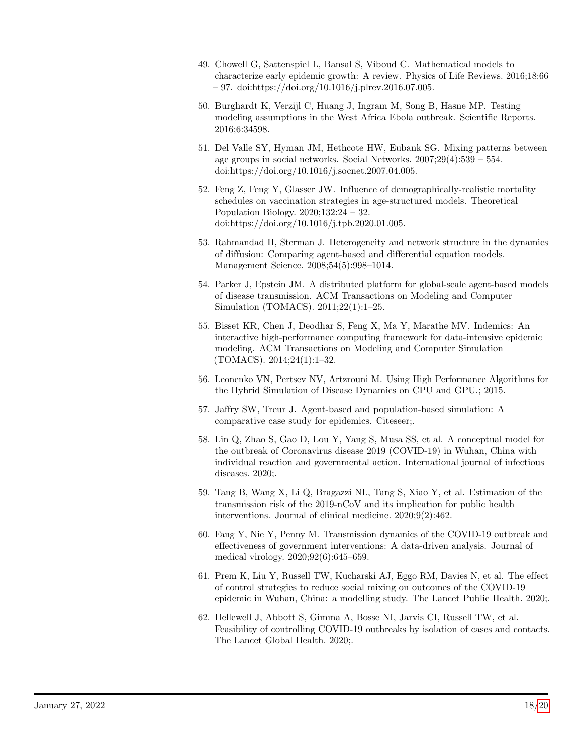- <span id="page-17-0"></span>49. Chowell G, Sattenspiel L, Bansal S, Viboud C. Mathematical models to characterize early epidemic growth: A review. Physics of Life Reviews. 2016;18:66 – 97. doi:https://doi.org/10.1016/j.plrev.2016.07.005.
- <span id="page-17-1"></span>50. Burghardt K, Verzijl C, Huang J, Ingram M, Song B, Hasne MP. Testing modeling assumptions in the West Africa Ebola outbreak. Scientific Reports. 2016;6:34598.
- <span id="page-17-2"></span>51. Del Valle SY, Hyman JM, Hethcote HW, Eubank SG. Mixing patterns between age groups in social networks. Social Networks. 2007;29(4):539 – 554. doi:https://doi.org/10.1016/j.socnet.2007.04.005.
- <span id="page-17-3"></span>52. Feng Z, Feng Y, Glasser JW. Influence of demographically-realistic mortality schedules on vaccination strategies in age-structured models. Theoretical Population Biology. 2020;132:24 – 32. doi:https://doi.org/10.1016/j.tpb.2020.01.005.
- <span id="page-17-4"></span>53. Rahmandad H, Sterman J. Heterogeneity and network structure in the dynamics of diffusion: Comparing agent-based and differential equation models. Management Science. 2008;54(5):998–1014.
- <span id="page-17-5"></span>54. Parker J, Epstein JM. A distributed platform for global-scale agent-based models of disease transmission. ACM Transactions on Modeling and Computer Simulation (TOMACS). 2011;22(1):1–25.
- 55. Bisset KR, Chen J, Deodhar S, Feng X, Ma Y, Marathe MV. Indemics: An interactive high-performance computing framework for data-intensive epidemic modeling. ACM Transactions on Modeling and Computer Simulation (TOMACS). 2014;24(1):1–32.
- <span id="page-17-6"></span>56. Leonenko VN, Pertsev NV, Artzrouni M. Using High Performance Algorithms for the Hybrid Simulation of Disease Dynamics on CPU and GPU.; 2015.
- <span id="page-17-7"></span>57. Jaffry SW, Treur J. Agent-based and population-based simulation: A comparative case study for epidemics. Citeseer;.
- <span id="page-17-8"></span>58. Lin Q, Zhao S, Gao D, Lou Y, Yang S, Musa SS, et al. A conceptual model for the outbreak of Coronavirus disease 2019 (COVID-19) in Wuhan, China with individual reaction and governmental action. International journal of infectious diseases. 2020;.
- 59. Tang B, Wang X, Li Q, Bragazzi NL, Tang S, Xiao Y, et al. Estimation of the transmission risk of the 2019-nCoV and its implication for public health interventions. Journal of clinical medicine. 2020;9(2):462.
- 60. Fang Y, Nie Y, Penny M. Transmission dynamics of the COVID-19 outbreak and effectiveness of government interventions: A data-driven analysis. Journal of medical virology. 2020;92(6):645–659.
- <span id="page-17-9"></span>61. Prem K, Liu Y, Russell TW, Kucharski AJ, Eggo RM, Davies N, et al. The effect of control strategies to reduce social mixing on outcomes of the COVID-19 epidemic in Wuhan, China: a modelling study. The Lancet Public Health. 2020;.
- <span id="page-17-10"></span>62. Hellewell J, Abbott S, Gimma A, Bosse NI, Jarvis CI, Russell TW, et al. Feasibility of controlling COVID-19 outbreaks by isolation of cases and contacts. The Lancet Global Health. 2020;.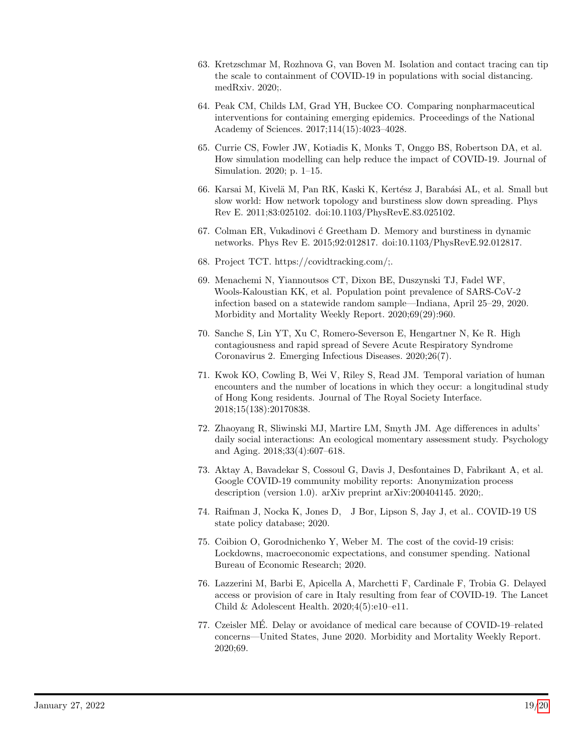- <span id="page-18-1"></span>63. Kretzschmar M, Rozhnova G, van Boven M. Isolation and contact tracing can tip the scale to containment of COVID-19 in populations with social distancing. medRxiv. 2020;.
- <span id="page-18-0"></span>64. Peak CM, Childs LM, Grad YH, Buckee CO. Comparing nonpharmaceutical interventions for containing emerging epidemics. Proceedings of the National Academy of Sciences. 2017;114(15):4023–4028.
- <span id="page-18-2"></span>65. Currie CS, Fowler JW, Kotiadis K, Monks T, Onggo BS, Robertson DA, et al. How simulation modelling can help reduce the impact of COVID-19. Journal of Simulation. 2020; p. 1–15.
- <span id="page-18-3"></span>66. Karsai M, Kivelä M, Pan RK, Kaski K, Kertész J, Barabási AL, et al. Small but slow world: How network topology and burstiness slow down spreading. Phys Rev E. 2011;83:025102. doi:10.1103/PhysRevE.83.025102.
- <span id="page-18-4"></span>67. Colman ER, Vukadinovi  $\acute{\text{c}}$  Greetham D. Memory and burstiness in dynamic networks. Phys Rev E. 2015;92:012817. doi:10.1103/PhysRevE.92.012817.
- <span id="page-18-5"></span>68. Project TCT. https://covidtracking.com/;.
- <span id="page-18-6"></span>69. Menachemi N, Yiannoutsos CT, Dixon BE, Duszynski TJ, Fadel WF, Wools-Kaloustian KK, et al. Population point prevalence of SARS-CoV-2 infection based on a statewide random sample—Indiana, April 25–29, 2020. Morbidity and Mortality Weekly Report. 2020;69(29):960.
- <span id="page-18-7"></span>70. Sanche S, Lin YT, Xu C, Romero-Severson E, Hengartner N, Ke R. High contagiousness and rapid spread of Severe Acute Respiratory Syndrome Coronavirus 2. Emerging Infectious Diseases. 2020;26(7).
- <span id="page-18-8"></span>71. Kwok KO, Cowling B, Wei V, Riley S, Read JM. Temporal variation of human encounters and the number of locations in which they occur: a longitudinal study of Hong Kong residents. Journal of The Royal Society Interface. 2018;15(138):20170838.
- <span id="page-18-9"></span>72. Zhaoyang R, Sliwinski MJ, Martire LM, Smyth JM. Age differences in adults' daily social interactions: An ecological momentary assessment study. Psychology and Aging. 2018;33(4):607–618.
- <span id="page-18-10"></span>73. Aktay A, Bavadekar S, Cossoul G, Davis J, Desfontaines D, Fabrikant A, et al. Google COVID-19 community mobility reports: Anonymization process description (version 1.0). arXiv preprint arXiv:200404145. 2020;.
- <span id="page-18-11"></span>74. Raifman J, Nocka K, Jones D, J Bor, Lipson S, Jay J, et al.. COVID-19 US state policy database; 2020.
- <span id="page-18-12"></span>75. Coibion O, Gorodnichenko Y, Weber M. The cost of the covid-19 crisis: Lockdowns, macroeconomic expectations, and consumer spending. National Bureau of Economic Research; 2020.
- <span id="page-18-13"></span>76. Lazzerini M, Barbi E, Apicella A, Marchetti F, Cardinale F, Trobia G. Delayed access or provision of care in Italy resulting from fear of COVID-19. The Lancet Child & Adolescent Health.  $2020;4(5):e10-e11$ .
- <span id="page-18-14"></span>77. Czeisler ME. Delay or avoidance of medical care because of COVID-19–related ´ concerns—United States, June 2020. Morbidity and Mortality Weekly Report. 2020;69.